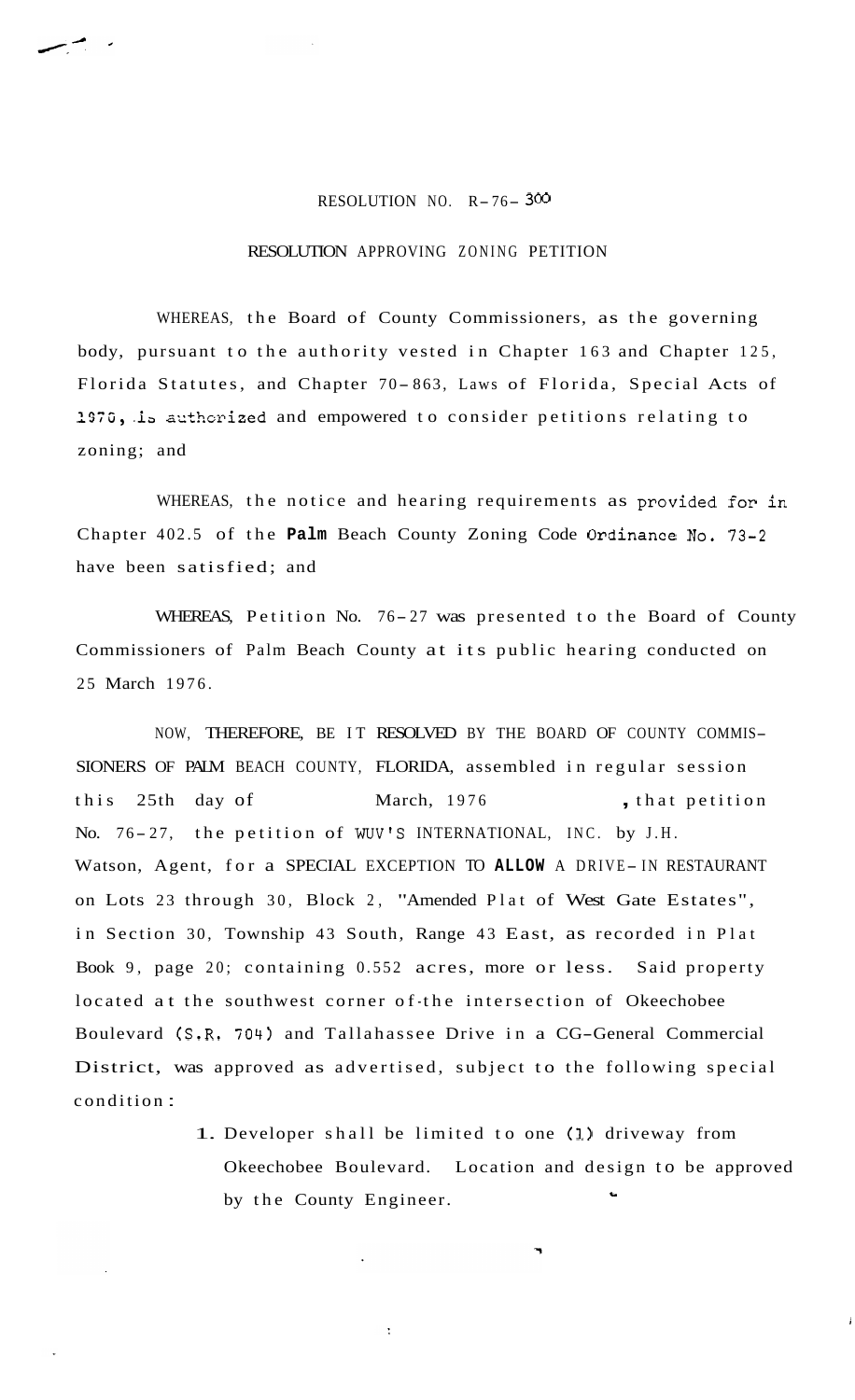## RESOLUTION NO. R- 76- **<sup>300</sup>**

## RESOLUTION APPROVING ZONING PETITION

WHEREAS, the Board of County Commissioners, as the governing body, pursuant to the authority vested in Chapter 163 and Chapter 125, Florida Statutes, and Chapter 70-863, Laws of Florida, Special Acts of 1970, is authorized and empowered to consider petitions relating to zoning; and

WHEREAS, the notice and hearing requirements as provided for in Chapter 402.5 of the **Palm** Beach County Zoning Code Ordinance No. 73-2 have been satisfied; and

WHEREAS, Petition No. 76-27 was presented to the Board of County Commissioners of Palm Beach County at its public hearing conducted on 25 March 1976.

NOW, THEREFORE, BE IT RESOLVED BY THE BOARD OF COUNTY COMMIS-SIONERS OF PALM BEACH COUNTY, FLORIDA, assembled in regular session this 25th day of March, 1976 , that petition No. 76-27, the petition of WUV'S INTERNATIONAL, INC. by J.H. Watson, Agent, for a SPECIAL EXCEPTION TO ALLOW A DRIVE-IN RESTAURANT on Lots 23 through 30, Block 2, "Amended Plat of West Gate Estates", in Section 30, Township 43 South, Range 43 East, as recorded in Plat Book 9, page 20; containing 0.552 acres, more or less. Said property located at the southwest corner of the intersection of Okeechobee Boulevard (S.R. 704) and Tallahassee Drive in a CG-General Commercial District, was approved as advertised, subject to the following special condition :

> 1. Developer shall be limited to one **(1)** driveway from Okeechobee Boulevard. Location and design to be approved by the County Engineer.

> > **i**